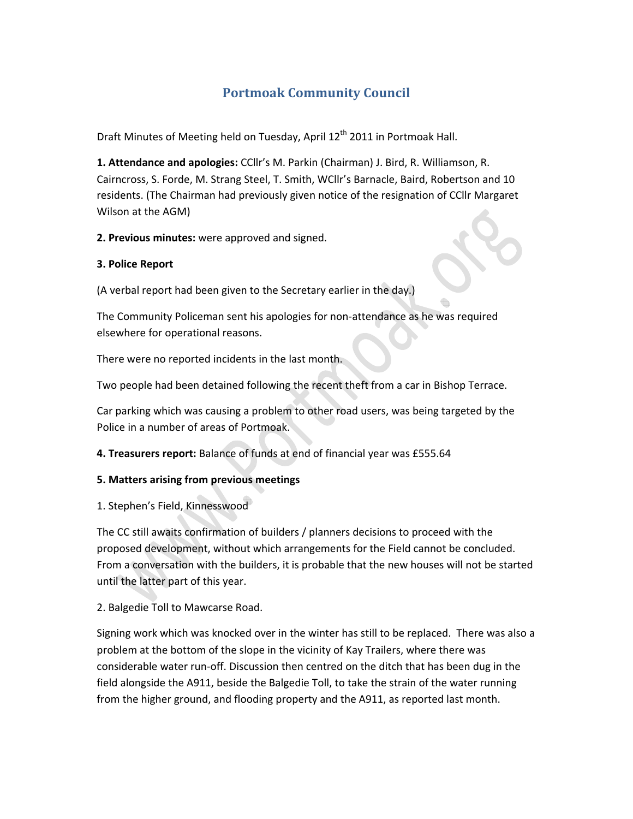# **Portmoak Community Council**

Draft Minutes of Meeting held on Tuesday, April 12<sup>th</sup> 2011 in Portmoak Hall.

**1. Attendance and apologies:** CCllr's M. Parkin (Chairman) J. Bird, R. Williamson, R. Cairncross, S. Forde, M. Strang Steel, T. Smith, WCllr's Barnacle, Baird, Robertson and 10 residents. (The Chairman had previously given notice of the resignation of CCllr Margaret Wilson at the AGM)

**2. Previous minutes:** were approved and signed.

### **3. Police Report**

(A verbal report had been given to the Secretary earlier in the day.)

The Community Policeman sent his apologies for non‐attendance as he was required elsewhere for operational reasons.

There were no reported incidents in the last month.

Two people had been detained following the recent theft from a car in Bishop Terrace.

Car parking which was causing a problem to other road users, was being targeted by the Police in a number of areas of Portmoak.

**4. Treasurers report:** Balance of funds at end of financial year was £555.64

#### **5. Matters arising from previous meetings**

1. Stephen's Field, Kinnesswood

The CC still awaits confirmation of builders / planners decisions to proceed with the proposed development, without which arrangements for the Field cannot be concluded. From a conversation with the builders, it is probable that the new houses will not be started until the latter part of this year.

2. Balgedie Toll to Mawcarse Road.

Signing work which was knocked over in the winter has still to be replaced. There was also a problem at the bottom of the slope in the vicinity of Kay Trailers, where there was considerable water run‐off. Discussion then centred on the ditch that has been dug in the field alongside the A911, beside the Balgedie Toll, to take the strain of the water running from the higher ground, and flooding property and the A911, as reported last month.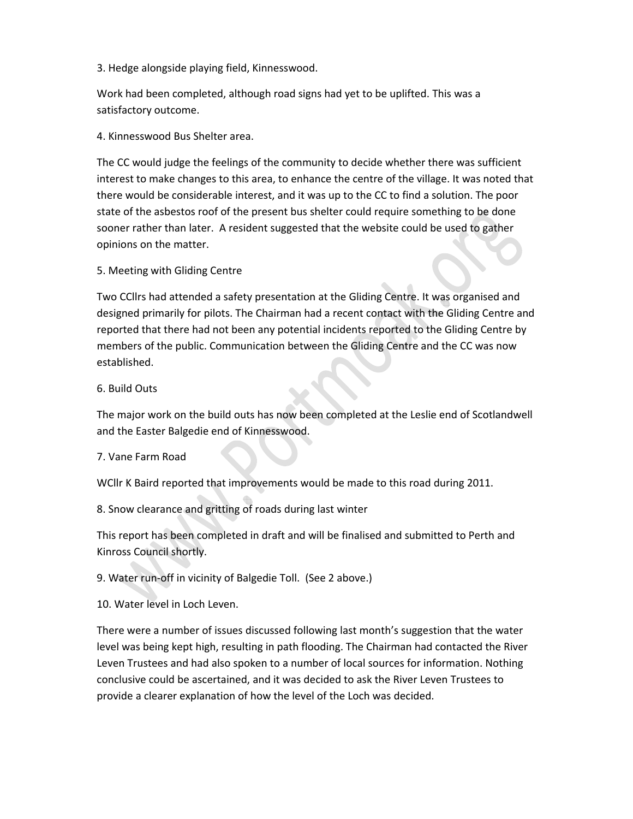3. Hedge alongside playing field, Kinnesswood.

Work had been completed, although road signs had yet to be uplifted. This was a satisfactory outcome.

4. Kinnesswood Bus Shelter area.

The CC would judge the feelings of the community to decide whether there was sufficient interest to make changes to this area, to enhance the centre of the village. It was noted that there would be considerable interest, and it was up to the CC to find a solution. The poor state of the asbestos roof of the present bus shelter could require something to be done sooner rather than later. A resident suggested that the website could be used to gather opinions on the matter.

5. Meeting with Gliding Centre

Two CCllrs had attended a safety presentation at the Gliding Centre. It was organised and designed primarily for pilots. The Chairman had a recent contact with the Gliding Centre and reported that there had not been any potential incidents reported to the Gliding Centre by members of the public. Communication between the Gliding Centre and the CC was now established.

#### 6. Build Outs

The major work on the build outs has now been completed at the Leslie end of Scotlandwell and the Easter Balgedie end of Kinnesswood.

#### 7. Vane Farm Road

WCllr K Baird reported that improvements would be made to this road during 2011.

8. Snow clearance and gritting of roads during last winter

This report has been completed in draft and will be finalised and submitted to Perth and Kinross Council shortly.

9. Water run‐off in vicinity of Balgedie Toll. (See 2 above.)

10. Water level in Loch Leven.

There were a number of issues discussed following last month's suggestion that the water level was being kept high, resulting in path flooding. The Chairman had contacted the River Leven Trustees and had also spoken to a number of local sources for information. Nothing conclusive could be ascertained, and it was decided to ask the River Leven Trustees to provide a clearer explanation of how the level of the Loch was decided.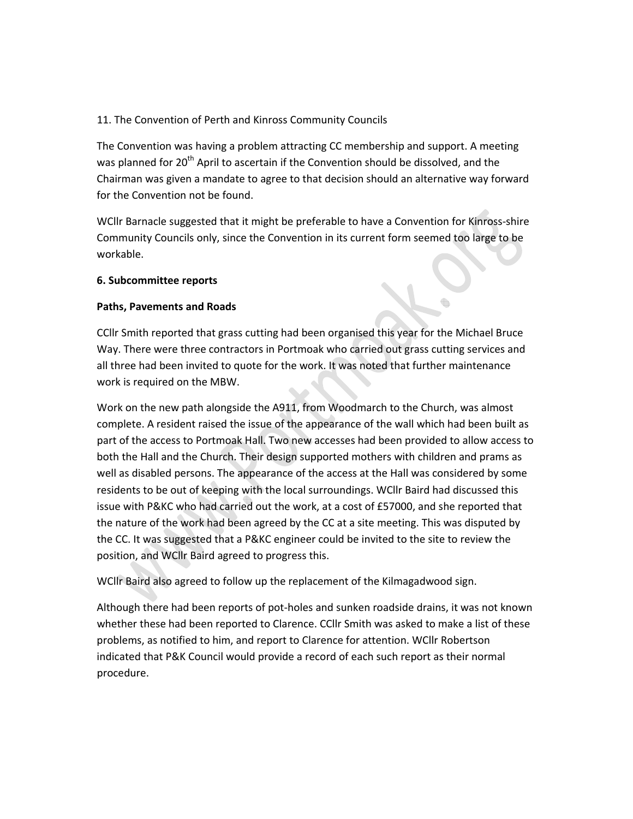# 11. The Convention of Perth and Kinross Community Councils

The Convention was having a problem attracting CC membership and support. A meeting was planned for  $20<sup>th</sup>$  April to ascertain if the Convention should be dissolved, and the Chairman was given a mandate to agree to that decision should an alternative way forward for the Convention not be found.

WCIIr Barnacle suggested that it might be preferable to have a Convention for Kinross-shire Community Councils only, since the Convention in its current form seemed too large to be workable.

#### **6. Subcommittee reports**

#### **Paths, Pavements and Roads**

CCllr Smith reported that grass cutting had been organised this year for the Michael Bruce Way. There were three contractors in Portmoak who carried out grass cutting services and all three had been invited to quote for the work. It was noted that further maintenance work is required on the MBW.

Work on the new path alongside the A911, from Woodmarch to the Church, was almost complete. A resident raised the issue of the appearance of the wall which had been built as part of the access to Portmoak Hall. Two new accesses had been provided to allow access to both the Hall and the Church. Their design supported mothers with children and prams as well as disabled persons. The appearance of the access at the Hall was considered by some residents to be out of keeping with the local surroundings. WCllr Baird had discussed this issue with P&KC who had carried out the work, at a cost of £57000, and she reported that the nature of the work had been agreed by the CC at a site meeting. This was disputed by the CC. It was suggested that a P&KC engineer could be invited to the site to review the position, and WCllr Baird agreed to progress this.

WCllr Baird also agreed to follow up the replacement of the Kilmagadwood sign.

Although there had been reports of pot‐holes and sunken roadside drains, it was not known whether these had been reported to Clarence. CCllr Smith was asked to make a list of these problems, as notified to him, and report to Clarence for attention. WCllr Robertson indicated that P&K Council would provide a record of each such report as their normal procedure.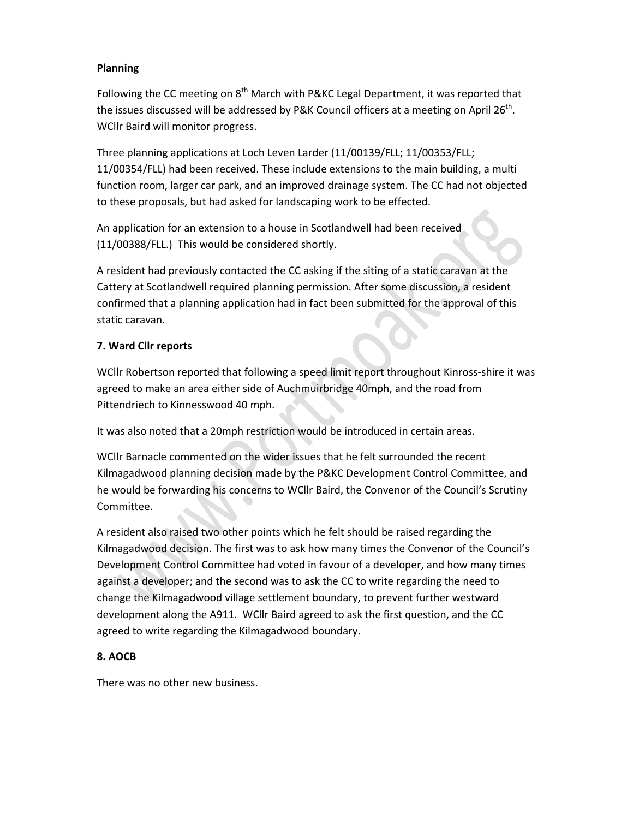## **Planning**

Following the CC meeting on  $8<sup>th</sup>$  March with P&KC Legal Department, it was reported that the issues discussed will be addressed by P&K Council officers at a meeting on April  $26^{th}$ . WCllr Baird will monitor progress.

Three planning applications at Loch Leven Larder (11/00139/FLL; 11/00353/FLL; 11/00354/FLL) had been received. These include extensions to the main building, a multi function room, larger car park, and an improved drainage system. The CC had not objected to these proposals, but had asked for landscaping work to be effected.

An application for an extension to a house in Scotlandwell had been received (11/00388/FLL.) This would be considered shortly.

A resident had previously contacted the CC asking if the siting of a static caravan at the Cattery at Scotlandwell required planning permission. After some discussion, a resident confirmed that a planning application had in fact been submitted for the approval of this static caravan.

# **7. Ward Cllr reports**

WCllr Robertson reported that following a speed limit report throughout Kinross‐shire it was agreed to make an area either side of Auchmuirbridge 40mph, and the road from Pittendriech to Kinnesswood 40 mph.

It was also noted that a 20mph restriction would be introduced in certain areas.

WCllr Barnacle commented on the wider issues that he felt surrounded the recent Kilmagadwood planning decision made by the P&KC Development Control Committee, and he would be forwarding his concerns to WCllr Baird, the Convenor of the Council's Scrutiny Committee.

A resident also raised two other points which he felt should be raised regarding the Kilmagadwood decision. The first was to ask how many times the Convenor of the Council's Development Control Committee had voted in favour of a developer, and how many times against a developer; and the second was to ask the CC to write regarding the need to change the Kilmagadwood village settlement boundary, to prevent further westward development along the A911. WCllr Baird agreed to ask the first question, and the CC agreed to write regarding the Kilmagadwood boundary.

#### **8. AOCB**

There was no other new business.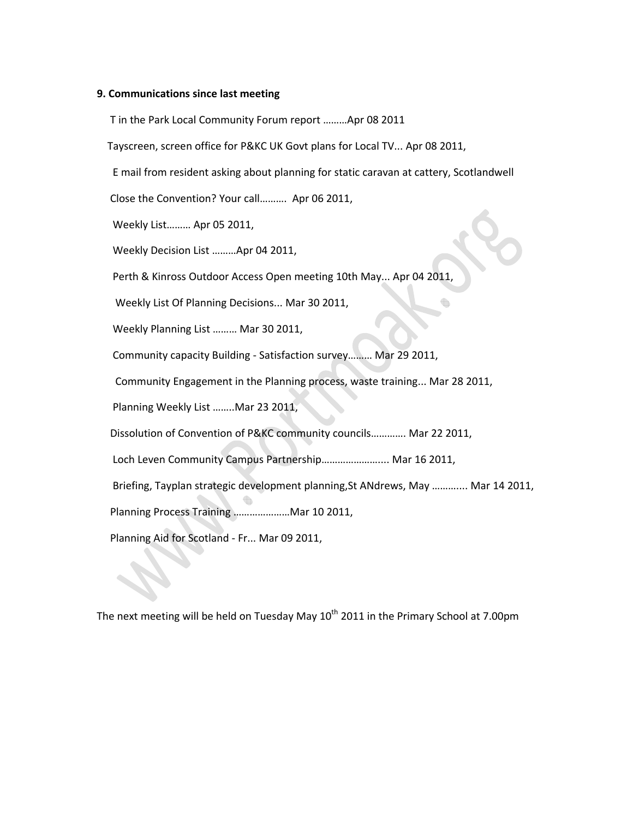#### **9. Communications since last meeting**

T in the Park Local Community Forum report ………Apr 08 2011

Tayscreen, screen office for P&KC UK Govt plans for Local TV... Apr 08 2011,

E mail from resident asking about planning for static caravan at cattery, Scotlandwell

Close the Convention? Your call………. Apr 06 2011,

Weekly List……… Apr 05 2011,

Weekly Decision List ………Apr 04 2011,

Perth & Kinross Outdoor Access Open meeting 10th May... Apr 04 2011,

Weekly List Of Planning Decisions... Mar 30 2011,

Weekly Planning List ……… Mar 30 2011,

Community capacity Building ‐ Satisfaction survey……… Mar 29 2011,

Community Engagement in the Planning process, waste training... Mar 28 2011,

Planning Weekly List ……..Mar 23 2011,

Dissolution of Convention of P&KC community councils…………. Mar 22 2011,

Loch Leven Community Campus Partnership………………….... Mar 16 2011,

Briefing, Tayplan strategic development planning,St ANdrews, May ……….... Mar 14 2011,

Planning Process Training …………………Mar 10 2011,

Planning Aid for Scotland ‐ Fr... Mar 09 2011,

The next meeting will be held on Tuesday May  $10^{th}$  2011 in the Primary School at 7.00pm